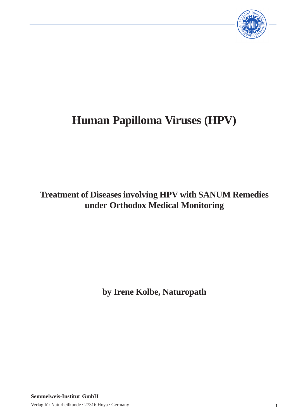

# **Human Papilloma Viruses (HPV)**

# **Treatment of Diseases involving HPV with SANUM Remedies under Orthodox Medical Monitoring**

**by Irene Kolbe, Naturopath**

**Semmelweis-Institut GmbH**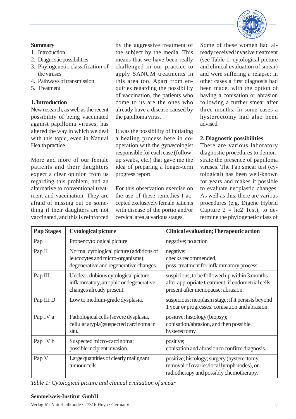

#### **Summary**

- 1. Introduction
- 2. Diagnostic possibilities 3. Phylogenetic classification of
- the viruses
- 4. Pathways of transmission
- 5. Treatment

# **1. Introduction**

New research, as well as the recent possibility of being vaccinated against papilloma viruses, has altered the way in which we deal with this topic, even in Natural Health practice.

More and more of our female patients and their daughters expect a clear opinion from us regarding this problem, and an alternative to conventional treatment and vaccination. They are afraid of missing out on something if their daughters are not vaccinated, and this is reinforced

by the aggressive treatment of the subject by the media. This means that we have been really challenged in our practice to apply SANUM treatments in this area too. Apart from enquiries regarding the possibility of vaccination, the patients who come to us are the ones who already have a disease caused by the papilloma virus.

It was the possibility of initiating a healing process here in cooperation with the gynæcologist responsible for each case (followup swabs, etc.) that gave me the idea of preparing a longer-term progress report.

For this observation exercise on the use of these remedies I accepted exclusively female patients with disease of the portio and/or cervical area at various stages.

Some of these women had already received invasive treatment (see Table 1: cytological picture and clinical evaluation of smear) and were suffering a relapse; in other cases a first diagnosis had been made, with the option of having a conisation or abrasion following a further smear after three months. In some cases a hysterectomy had also been advised.

# **2. Diagnostic possibilities**

There are various laboratory diagnostic procedures to demonstrate the presence of papilloma viruses. The Pap smear test (cytological) has been well-known for years and makes it possible to evaluate neoplastic changes. As well as this, there are various procedures (e.g. Digene Hybrid Capture  $2 = hc2$  Test), to determine the phylogenetic class of

| <b>Pap Stages</b> | <b>Cytological picture</b>                                                                                             | <b>Clinical evaluation; Therapeutic action</b>                                                                                           |
|-------------------|------------------------------------------------------------------------------------------------------------------------|------------------------------------------------------------------------------------------------------------------------------------------|
| Pap I             | Proper cytological picture                                                                                             | negative; no action                                                                                                                      |
| Pap II            | Normal cytological picture (additions of<br>leucocytes and micro-organisms);<br>degenerative and regenerative changes. | negative;<br>checks recommended,<br>poss. treatment for inflammatory process.                                                            |
| Pap III           | Unclear, dubious cytological picture;<br>inflammatory, atrophic or degenerative<br>changes already present.            | suspicious; to be followed up within 3 months<br>after appropriate treatment; if endometrial cells<br>present after menopause: abrasion. |
| Pap III D         | Low to medium-grade dysplasia.                                                                                         | suspicious; neoplasm stage; if it persists beyond<br>1 year or progresses: conisation and abrasion.                                      |
| Pap IV a          | Pathological cells (severe dysplasia,<br>cellular atypia); suspected carcinoma in<br>situ.                             | positive; histology (biopsy);<br>conisation/abrasion, and then possible<br>hysterectomy.                                                 |
| Pap IV b          | Suspected micro-carcinoma;<br>possible incipient invasion.                                                             | positive;<br>conisation and abrasion to confirm diagnosis.                                                                               |
| Pap V             | Large quantities of clearly malignant<br>tumour cells.                                                                 | positive; histology; surgery (hysterectomy,<br>removal of ovaries/local lymph nodes), or<br>radiotherapy and possibly chemotherapy.      |

*Table 1: Cytological picture and clinical evaluation of smear*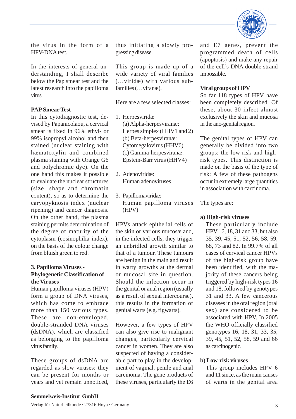

the virus in the form of a HPV-DNA test.

In the interests of general understanding, I shall describe below the Pap smear test and the latest research into the papilloma virus.

# **PAP Smear Test**

In this cytodiagnostic test, devised by Papanicolaou, a cervical smear is fixed in 96% ethyl- or 99% isopropyl alcohol and then stained (nuclear staining with hæmatoxylin and combined plasma staining with Orange G6 and polychromic dye). On the one hand this makes it possible to evaluate the nuclear structures (size, shape and chromatin content), so as to determine the caryopyknosis index (nuclear ripening) and cancer diagnosis. On the other hand, the plasma staining permits determination of the degree of maturity of the cytoplasm (eosinophilia index), on the basis of the colour change from bluish green to red.

# **3. Papilloma Viruses - Phylogenetic Classification of the Viruses**

Human papilloma viruses (HPV) form a group of DNA viruses, which has come to embrace more than 150 various types. These are non-enveloped, double-stranded DNA viruses (dsDNA), which are classified as belonging to the papilloma virus family.

These groups of dsDNA are regarded as slow viruses: they can be present for months or years and yet remain unnoticed, thus initiating a slowly progressing disease.

This group is made up of a wide variety of viral families (…viridæ) with various subfamilies (…viranæ).

Here are a few selected classes:

- 1. Herpesviridæ (a) Alpha-herpesviranæ: Herpes simplex (HHV1 and 2) (b) Beta-herpesviranæ: Cytomegalovirus (HHV6) (c) Gamma-herpesviranæ: Epstein-Barr virus (HHV4)
- 2. Adenoviridæ: Human adenoviruses
- 3. Papillomaviridæ: Human papilloma viruses (HPV)

HPVs attack epithelial cells of the skin or various mucosæ and, in the infected cells, they trigger an unbridled growth similar to that of a tumour. These tumours are benign in the main and result in warty growths at the dermal or mucosal site in question. Should the infection occur in the genital or anal region (usually as a result of sexual intercourse), this results in the formation of genital warts (e.g. figwarts).

However, a few types of HPV can also give rise to malignant changes, particularly cervical cancer in women. They are also suspected of having a considerable part to play in the development of vaginal, penile and anal carcinoma. The gene products of these viruses, particularly the E6

and E7 genes, prevent the programmed death of cells (apoptosis) and make any repair of the cell's DNA double strand impossible.

#### **Viral groups of HPV**

So far 118 types of HPV have been completely described. Of these, about 30 infect almost exclusively the skin and mucosa in the ano-genital region.

The genital types of HPV can generally be divided into two groups: the low-risk and highrisk types. This distinction is made on the basis of the type of risk: A few of these pathogens occur in extremely large quantities in association with carcinoma.

The types are:

# **a) High-risk viruses**

These particularly include HPV 16, 18, 31 and 33, but also 35, 39, 45, 51, 52, 56, 58, 59, 68, 73 and 82. In 99.7% of all cases of cervical cancer HPVs of the high-risk group have been identified, with the majority of these cancers being triggered by high-risk types 16 and 18, followed by genotypes 31 and 33. A few cancerous diseases in the oral region (oral sex) are considered to be associated with HPV. In 2005 the WHO officially classified genotypes 16, 18, 31, 33, 35, 39, 45, 51, 52, 58, 59 and 66 as carcinogenic.

# **b) Low-risk viruses**

This group includes HPV 6 and 11 since, as the main causes of warts in the genital area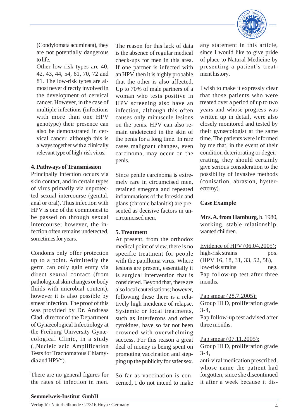

(Condylomata acuminata), they are not potentially dangerous to life.

Other low-risk types are 40, 42, 43, 44, 54, 61, 70, 72 and 81. The low-risk types are almost never directly involved in the development of cervical cancer. However, in the case of multiple infections (infections with more than one HPV genotype) their presence can also be demonstrated in cervical cancer, although this is always together with a clinically relevant type of high-risk virus.

#### **4. Pathways of Transmission**

Principally infection occurs via skin contact, and in certain types of virus primarily via unprotected sexual intercourse (genital, anal or oral). Thus infection with HPV is one of the commonest to be passed on through sexual intercourse; however, the infection often remains undetected, sometimes for years.

Condoms only offer protection up to a point. Admittedly the germ can only gain entry via direct sexual contact (from pathological skin changes or body fluids with microbial content), however it is also possible by smear infection. The proof of this was provided by Dr. Andreas Clad, director of the Department of Gynæcological Infectiology at the Freiburg University Gynæcological Clinic, in a study ("Nucleic acid Amplification Tests for Trachomatous Chlamydia and HPV").

There are no general figures for the rates of infection in men.

The reason for this lack of data is the absence of regular medical check-ups for men in this area. If one partner is infected with an HPV, then it is highly probable that the other is also affected. Up to 70% of male partners of a woman who tests positive in HPV screening also have an infection, although this often causes only minuscule lesions on the penis. HPV can also remain undetected in the skin of the penis for a long time. In rare cases malignant changes, even carcinoma, may occur on the penis.

Since penile carcinoma is extremely rare in circumcised men, retained smegma and repeated inflammations of the foreskin and glans (chronic balanitis) are presented as decisive factors in uncircumcised men.

#### **5. Treatment**

At present, from the orthodox medical point of view, there is no specific treatment for people with the papilloma virus. Where lesions are present, essentially it is surgical intervention that is considered. Beyond that, there are also local cauterisations; however, following these there is a relatively high incidence of relapse. Systemic or local treatments, such as interferons and other cytokines, have so far not been crowned with overwhelming success. For this reason a great deal of money is being spent on promoting vaccination and stepping up the publicity for safer sex.

So far as vaccination is concerned, I do not intend to make any statement in this article, since I would like to give pride of place to Natural Medicine by presenting a patient's treatment history.

I wish to make it expressly clear that those patients who were treated over a period of up to two years and whose progress was written up in detail, were also closely monitored and tested by their gynæcologist at the same time. The patients were informed by me that, in the event of their condition deteriorating or degenerating, they should certainly give serious consideration to the possibility of invasive methods (conisation, abrasion, hysterectomy).

# **Case Example**

**Mrs. A. from Hamburg**, b. 1980, working, stable relationship, wanted children.

Evidence of HPV (06.04.2005): high-risk strains pos. (HPV 16, 18, 31, 33, 52, 58), low-risk strains neg. Pap follow-up test after three months.

Pap smear (28.7.2005): Group III D, proliferation grade 3-4, Pap follow-up test advised after

three months.

Pap smear (07.11.2005): Group III D, proliferation grade 3-4,

anti-viral medication prescribed, whose name the patient had forgotten, since she discontinued it after a week because it dis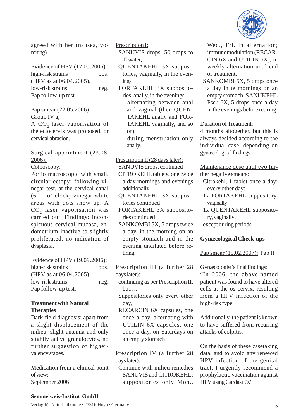agreed with her (nausea, vomiting).

Evidence of HPV (17.05.2006): high-risk strains pos. (HPV as at 06.04.2005), low-risk strains neg. Pap follow-up test.

Pap smear (22.05.2006):

Group IV a, A  $CO<sub>2</sub>$  laser vaporisation of the ectocervix was proposed, or cervical abrasion.

Surgical appointment (23.08. 2006):

Colposcopy:

Portio macroscopic with small, circular ectopy; following vinegar test, at the cervical canal (6-10 o' clock) vinegar-white areas with dots show up. A  $\mathrm{CO}_2$  laser vaporisation was carried out. Findings: inconspicuous cervical mucosa, endometrium inactive to slightly proliferated, no indication of dysplasia.

Evidence of HPV (19.09.2006): high-risk strains pos. (HPV as at 06.04.2005), low-risk strains neg. Pap follow-up test.

#### **Treatment with Natural Therapies**

Dark-field diagnosis: apart from a slight displacement of the milieu, slight anæmia and only slightly active granulocytes, no further suggestion of highervalency stages.

Medication from a clinical point of view: September 2006

Prescription I:

- SANUVIS drops. 50 drops to 1l water,
- QUENTAKEHL 3X suppositories, vaginally, in the evenings
- FORTAKEHL 3X suppositories, anally, in the evenings
	- alternating between anal and vaginal (then QUEN-TAKEHL anally and FOR-TAKEHL vaginally, and so on)
	- during menstruation only anally.

Prescription II (28 days later): SANUVIS drops, continued

- CITROKEHL tablets, one twice a day mornings and evenings additionally
- QUENTAKEHL 3X suppositories continued
- FORTAKEHL 3X suppositories continued
- SANKOMBI 5X, 5 drops twice a day, in the morning on an empty stomach and in the evening undiluted before retiring.

Prescription III (a further 28 days later):

- continuing as per Prescription II, but….
- Suppositories only every other day,
- RECARCIN 6X capsules, one once a day, alternating with UTILIN 6X capsules, one once a day, on Saturdays on an empty stomach!

Prescription IV (a further 28 days later):

Continue with milieu remedies SANUVIS and CITROKEHL; suppositories only Mon.,



Wed., Fri. in alternation; immunomodulation (RECAR-CIN 6X and UTILIN 6X), in weekly alternation until end of treatment.

SANKOMBI 5X, 5 drops once a day in te mornings on an empty stomach, SANUKEHL Pseu 6X, 5 drops once a day in the evenings before retiring.

# Duration of Treatment:

4 months altogether, but this is always decided according to the individual case, depending on gynæcological findings.

Maintenance dose until two further negative smears:

- Citrokehl, 1 tablet once a day; every other day:
- 1x FORTAKEHL suppository, vaginally
- 1x QUENTAKEHL suppository, vaginally,
- except during periods.

# **Gynæcological Check-ups**

Pap smear (15.02.2007): Pap II

Gynæcologist's final findings: "In 2006, the above-named patient was found to have altered cells at the os cervix, resulting from a HPV infection of the high-risk type.

Additionally, the patient is known to have suffered from recurring attacks of colpitis.

On the basis of these casetaking data, and to avoid any renewed HPV infection of the genital tract, I urgently recommend a prophylactic vaccination against HPV using Gardasil®."

#### **Semmelweis-Institut GmbH**